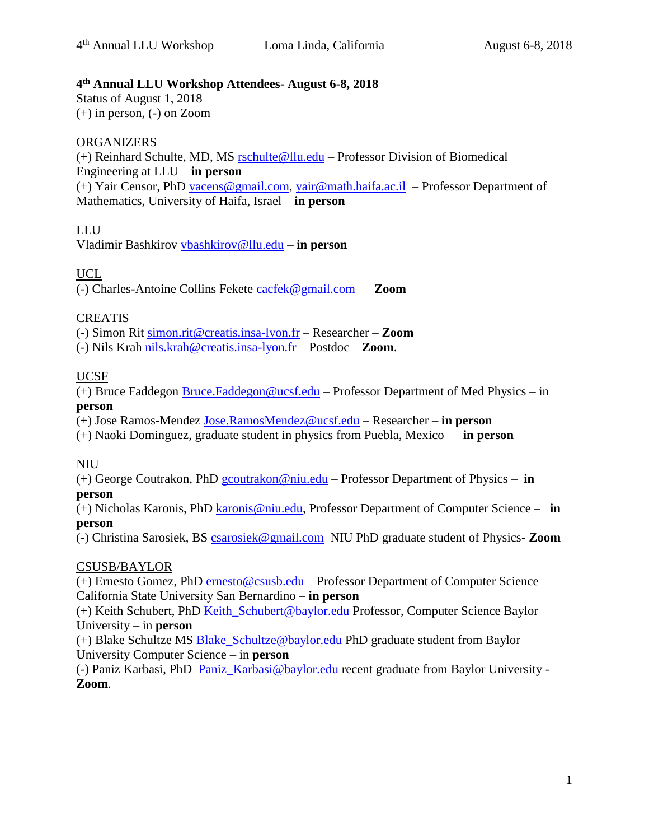### **4 th Annual LLU Workshop Attendees- August 6-8, 2018**

Status of August 1, 2018 (+) in person, (-) on Zoom

### **ORGANIZERS**

(+) Reinhard Schulte, MD, MS [rschulte@llu.edu](mailto:rschulte@llu.edu) – Professor Division of Biomedical Engineering at LLU – **in person** (+) Yair Censor, PhD [yacens@gmail.com,](mailto:yacens@gmail.com) [yair@math.haifa.ac.il](mailto:yair@math.haifa.ac.il) – Professor Department of Mathematics, University of Haifa, Israel – **in person**

### LLU

Vladimir Bashkirov [vbashkirov@llu.edu](mailto:vbashkirov@llu.edu) – **in person**

# UCL

(-) Charles-Antoine Collins Fekete [cacfek@gmail.com](mailto:cacfek@gmail.com) – **Zoom**

### CREATIS

(-) Simon Rit [simon.rit@creatis.insa-lyon.fr](mailto:simon.rit@creatis.insa-lyon.fr) – Researcher – **Zoom**

(-) Nils Krah [nils.krah@creatis.insa-lyon.fr](mailto:nils.krah@creatis.insa-lyon.fr) – Postdoc – **Zoom**.

### UCSF

(+) Bruce Faddegon [Bruce.Faddegon@ucsf.edu](mailto:Bruce.Faddegon@ucsf.edu) – Professor Department of Med Physics – in **person**

(+) Jose Ramos-Mendez [Jose.RamosMendez@ucsf.edu](mailto:Jose.RamosMendez@ucsf.edu) – Researcher – **in person**

(+) Naoki Dominguez, graduate student in physics from Puebla, Mexico – **in person**

#### NIU

(+) George Coutrakon, PhD [gcoutrakon@niu.edu](mailto:gcoutrakon@niu.edu) – Professor Department of Physics – **in person**

(+) Nicholas Karonis, PhD [karonis@niu.edu,](mailto:karonis@niu.edu) Professor Department of Computer Science – **in person**

(-) Christina Sarosiek, BS [csarosiek@gmail.com](mailto:csarosiek@gmail.com) NIU PhD graduate student of Physics- **Zoom**

#### CSUSB/BAYLOR

(+) Ernesto Gomez, PhD [ernesto@csusb.edu](mailto:ernesto@csusb.edu) – Professor Department of Computer Science California State University San Bernardino – **in person**

(+) Keith Schubert, PhD [Keith\\_Schubert@baylor.edu](mailto:Keith_Schubert@baylor.edu) Professor, Computer Science Baylor University – in **person**

(+) Blake Schultze MS [Blake\\_Schultze@baylor.edu](mailto:Blake_Schultze@baylor.edu) PhD graduate student from Baylor University Computer Science – in **person**

(-) Paniz Karbasi, PhD [Paniz\\_Karbasi@baylor.edu](mailto:Paniz_Karbasi@baylor.edu) recent graduate from Baylor University - **Zoom**.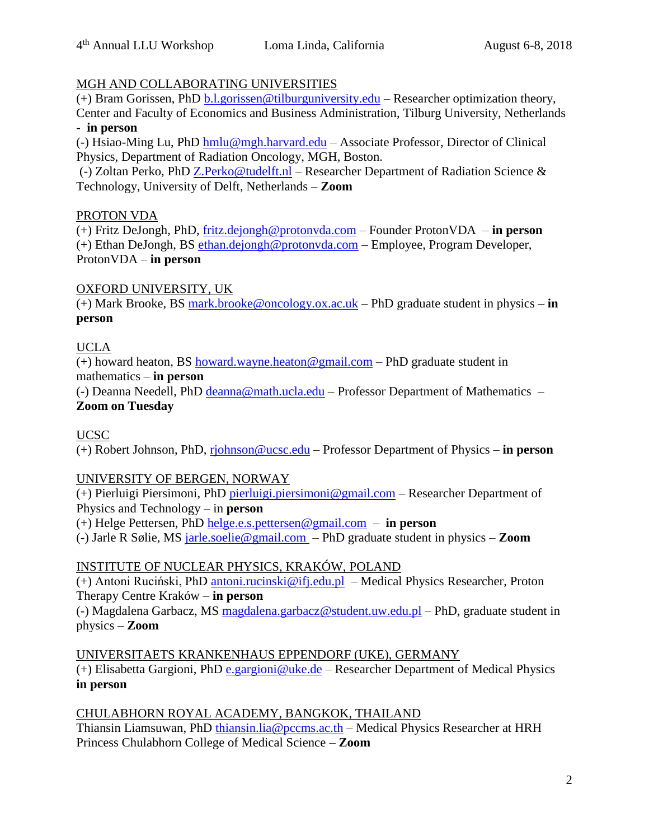### MGH AND COLLABORATING UNIVERSITIES

(+) Bram Gorissen, PhD  $\underline{b.l.}$ gorissen@tilburguniversity.edu – Researcher optimization theory, Center and Faculty of Economics and Business Administration, Tilburg University, Netherlands - **in person**

(-) Hsiao-Ming Lu, PhD [hmlu@mgh.harvard.edu](mailto:hmlu@mgh.harvard.edu) – Associate Professor, Director of Clinical Physics, Department of Radiation Oncology, MGH, Boston.

(-) Zoltan Perko, PhD [Z.Perko@tudelft.nl](mailto:Z.Perko@tudelft.nl) – Researcher Department of Radiation Science & Technology, University of Delft, Netherlands – **Zoom**

#### PROTON VDA

(+) Fritz DeJongh, PhD, [fritz.dejongh@protonvda.com](mailto:fritz.dejongh@protonvda.com) – Founder ProtonVDA – **in person** (+) Ethan DeJongh, BS [ethan.dejongh@protonvda.com](mailto:ethan.dejongh@protonvda.com) – Employee, Program Developer, ProtonVDA – **in person**

# OXFORD UNIVERSITY, UK

(+) Mark Brooke, BS [mark.brooke@oncology.ox.ac.uk](mailto:mark.brooke@oncology.ox.ac.uk) – PhD graduate student in physics – **in person**

# UCLA

(+) howard heaton, BS [howard.wayne.heaton@gmail.com](mailto:howard.wayne.heaton@gmail.com) – PhD graduate student in mathematics – **in person**

(-) Deanna Needell, PhD [deanna@math.ucla.edu](mailto:deanna@math.ucla.edu) – Professor Department of Mathematics – **Zoom on Tuesday**

UCSC

(+) Robert Johnson, PhD, [rjohnson@ucsc.edu](mailto:rjohnson@ucsc.edu) – Professor Department of Physics – **in person**

# UNIVERSITY OF BERGEN, NORWAY

(+) Pierluigi Piersimoni, PhD [pierluigi.piersimoni@gmail.com](mailto:pierluigi.piersimoni@gmail.com) – Researcher Department of Physics and Technology – in **person**

(+) Helge Pettersen, PhD [helge.e.s.pettersen@gmail.com](mailto:helge.e.s.pettersen@gmail.com) – **in person**

(-) Jarle R Sølie, MS [jarle.soelie@gmail.com](mailto:jarle.soelie@gmail.com) – PhD graduate student in physics – **Zoom**

# INSTITUTE OF NUCLEAR PHYSICS, KRAKÓW, POLAND

(+) Antoni Ruciński, PhD [antoni.rucinski@ifj.edu.pl](mailto:antoni.rucinski@ifj.edu.pl) – Medical Physics Researcher, Proton Therapy Centre Kraków – **in person**

(-) Magdalena Garbacz, MS [magdalena.garbacz@student.uw.edu.pl](mailto:magdalena.garbacz@student.uw.edu.pl) – PhD, graduate student in physics – **Zoom**

UNIVERSITAETS KRANKENHAUS EPPENDORF (UKE), GERMANY (+) Elisabetta Gargioni, PhD [e.gargioni@uke.de](mailto:e.gargioni@uke.de) – Researcher Department of Medical Physics **in person**

# CHULABHORN ROYAL ACADEMY, BANGKOK, THAILAND

Thiansin Liamsuwan, PhD [thiansin.lia@pccms.ac.th](mailto:thiansin.lia@pccms.ac.th) – Medical Physics Researcher at HRH Princess Chulabhorn College of Medical Science – **Zoom**